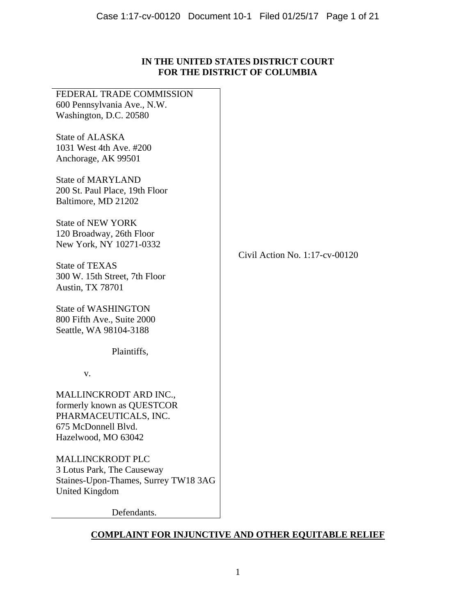# **IN THE UNITED STATES DISTRICT COURT FOR THE DISTRICT OF COLUMBIA**

| FEDERAL TRADE COMMISSION<br>600 Pennsylvania Ave., N.W.<br>Washington, D.C. 20580                                           |                                   |
|-----------------------------------------------------------------------------------------------------------------------------|-----------------------------------|
| State of ALASKA<br>1031 West 4th Ave. #200<br>Anchorage, AK 99501                                                           |                                   |
| <b>State of MARYLAND</b><br>200 St. Paul Place, 19th Floor<br>Baltimore, MD 21202                                           |                                   |
| <b>State of NEW YORK</b><br>120 Broadway, 26th Floor<br>New York, NY 10271-0332                                             |                                   |
| <b>State of TEXAS</b><br>300 W. 15th Street, 7th Floor<br><b>Austin, TX 78701</b>                                           | Civil Action No. $1:17$ -cv-00120 |
| <b>State of WASHINGTON</b><br>800 Fifth Ave., Suite 2000<br>Seattle, WA 98104-3188                                          |                                   |
| Plaintiffs,                                                                                                                 |                                   |
| v.                                                                                                                          |                                   |
| MALLINCKRODT ARD INC.,<br>formerly known as QUESTCOR<br>PHARMACEUTICALS, INC.<br>675 McDonnell Blvd.<br>Hazelwood, MO 63042 |                                   |
| <b>MALLINCKRODT PLC</b><br>3 Lotus Park, The Causeway<br>Staines-Upon-Thames, Surrey TW18 3AG<br>United Kingdom             |                                   |

Defendants.

# **COMPLAINT FOR INJUNCTIVE AND OTHER EQUITABLE RELIEF**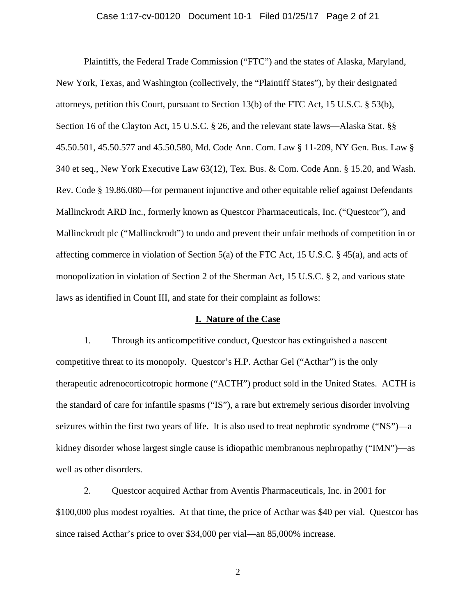#### Case 1:17-cv-00120 Document 10-1 Filed 01/25/17 Page 2 of 21

Plaintiffs, the Federal Trade Commission ("FTC") and the states of Alaska, Maryland, New York, Texas, and Washington (collectively, the "Plaintiff States"), by their designated attorneys, petition this Court, pursuant to Section 13(b) of the FTC Act, 15 U.S.C. § 53(b), Section 16 of the Clayton Act, 15 U.S.C. § 26, and the relevant state laws—Alaska Stat. §§ 45.50.501, 45.50.577 and 45.50.580, Md. Code Ann. Com. Law § 11-209, NY Gen. Bus. Law § 340 et seq., New York Executive Law 63(12), Tex. Bus. & Com. Code Ann. § 15.20, and Wash. Rev. Code § 19.86.080—for permanent injunctive and other equitable relief against Defendants Mallinckrodt ARD Inc., formerly known as Questcor Pharmaceuticals, Inc. ("Questcor"), and Mallinckrodt plc ("Mallinckrodt") to undo and prevent their unfair methods of competition in or affecting commerce in violation of Section 5(a) of the FTC Act, 15 U.S.C. § 45(a), and acts of monopolization in violation of Section 2 of the Sherman Act, 15 U.S.C. § 2, and various state laws as identified in Count III, and state for their complaint as follows:

### **I. Nature of the Case**

1. Through its anticompetitive conduct, Questcor has extinguished a nascent competitive threat to its monopoly. Questcor's H.P. Acthar Gel ("Acthar") is the only therapeutic adrenocorticotropic hormone ("ACTH") product sold in the United States. ACTH is the standard of care for infantile spasms ("IS"), a rare but extremely serious disorder involving seizures within the first two years of life. It is also used to treat nephrotic syndrome ("NS")—a kidney disorder whose largest single cause is idiopathic membranous nephropathy ("IMN")—as well as other disorders.

2. Questcor acquired Acthar from Aventis Pharmaceuticals, Inc. in 2001 for \$100,000 plus modest royalties. At that time, the price of Acthar was \$40 per vial. Questcor has since raised Acthar's price to over \$34,000 per vial—an 85,000% increase.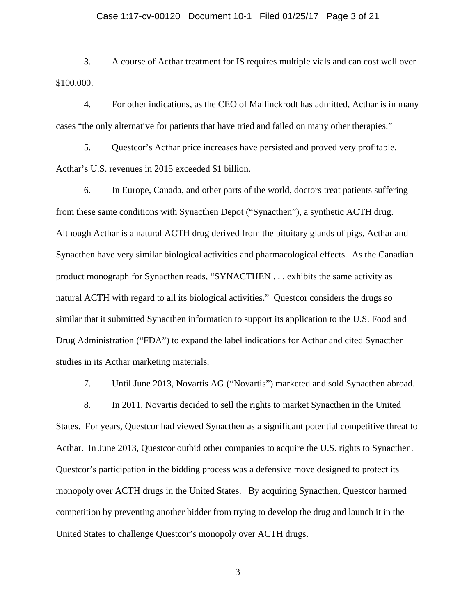#### Case 1:17-cv-00120 Document 10-1 Filed 01/25/17 Page 3 of 21

3. A course of Acthar treatment for IS requires multiple vials and can cost well over \$100,000.

4. For other indications, as the CEO of Mallinckrodt has admitted, Acthar is in many cases "the only alternative for patients that have tried and failed on many other therapies."

5. Questcor's Acthar price increases have persisted and proved very profitable. Acthar's U.S. revenues in 2015 exceeded \$1 billion.

6. In Europe, Canada, and other parts of the world, doctors treat patients suffering from these same conditions with Synacthen Depot ("Synacthen"), a synthetic ACTH drug. Although Acthar is a natural ACTH drug derived from the pituitary glands of pigs, Acthar and Synacthen have very similar biological activities and pharmacological effects. As the Canadian product monograph for Synacthen reads, "SYNACTHEN . . . exhibits the same activity as natural ACTH with regard to all its biological activities." Questcor considers the drugs so similar that it submitted Synacthen information to support its application to the U.S. Food and Drug Administration ("FDA") to expand the label indications for Acthar and cited Synacthen studies in its Acthar marketing materials.

7. Until June 2013, Novartis AG ("Novartis") marketed and sold Synacthen abroad.

8. In 2011, Novartis decided to sell the rights to market Synacthen in the United States. For years, Questcor had viewed Synacthen as a significant potential competitive threat to Acthar. In June 2013, Questcor outbid other companies to acquire the U.S. rights to Synacthen. Questcor's participation in the bidding process was a defensive move designed to protect its monopoly over ACTH drugs in the United States. By acquiring Synacthen, Questcor harmed competition by preventing another bidder from trying to develop the drug and launch it in the United States to challenge Questcor's monopoly over ACTH drugs.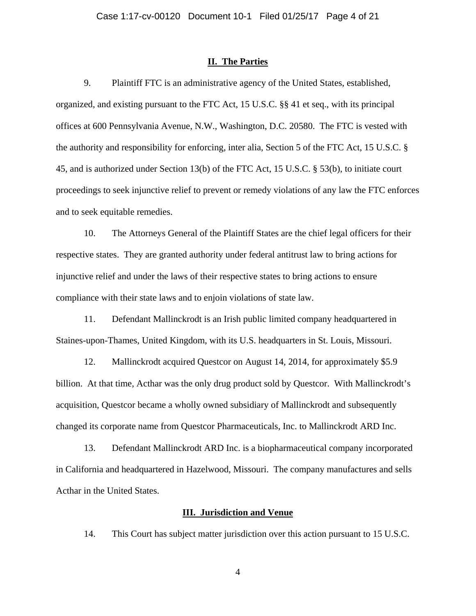#### **II. The Parties**

9. Plaintiff FTC is an administrative agency of the United States, established, organized, and existing pursuant to the FTC Act, 15 U.S.C. §§ 41 et seq., with its principal offices at 600 Pennsylvania Avenue, N.W., Washington, D.C. 20580. The FTC is vested with the authority and responsibility for enforcing, inter alia, Section 5 of the FTC Act, 15 U.S.C. § 45, and is authorized under Section 13(b) of the FTC Act, 15 U.S.C. § 53(b), to initiate court proceedings to seek injunctive relief to prevent or remedy violations of any law the FTC enforces and to seek equitable remedies.

10. The Attorneys General of the Plaintiff States are the chief legal officers for their respective states. They are granted authority under federal antitrust law to bring actions for injunctive relief and under the laws of their respective states to bring actions to ensure compliance with their state laws and to enjoin violations of state law.

11. Defendant Mallinckrodt is an Irish public limited company headquartered in Staines-upon-Thames, United Kingdom, with its U.S. headquarters in St. Louis, Missouri.

12. Mallinckrodt acquired Questcor on August 14, 2014, for approximately \$5.9 billion. At that time, Acthar was the only drug product sold by Questcor. With Mallinckrodt's acquisition, Questcor became a wholly owned subsidiary of Mallinckrodt and subsequently changed its corporate name from Questcor Pharmaceuticals, Inc. to Mallinckrodt ARD Inc.

13. Defendant Mallinckrodt ARD Inc. is a biopharmaceutical company incorporated in California and headquartered in Hazelwood, Missouri. The company manufactures and sells Acthar in the United States.

## **III. Jurisdiction and Venue**

14. This Court has subject matter jurisdiction over this action pursuant to 15 U.S.C.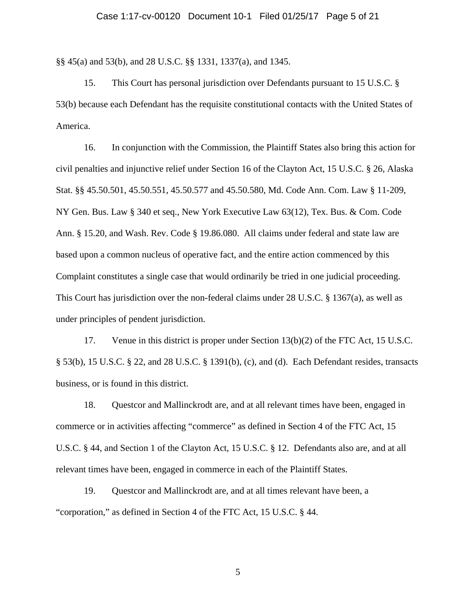# Case 1:17-cv-00120 Document 10-1 Filed 01/25/17 Page 5 of 21

§§ 45(a) and 53(b), and 28 U.S.C. §§ 1331, 1337(a), and 1345.

15. This Court has personal jurisdiction over Defendants pursuant to 15 U.S.C. § 53(b) because each Defendant has the requisite constitutional contacts with the United States of America.

16. In conjunction with the Commission, the Plaintiff States also bring this action for civil penalties and injunctive relief under Section 16 of the Clayton Act, 15 U.S.C. § 26, Alaska Stat. §§ 45.50.501, 45.50.551, 45.50.577 and 45.50.580, Md. Code Ann. Com. Law § 11-209, NY Gen. Bus. Law § 340 et seq., New York Executive Law 63(12), Tex. Bus. & Com. Code Ann. § 15.20, and Wash. Rev. Code § 19.86.080. All claims under federal and state law are based upon a common nucleus of operative fact, and the entire action commenced by this Complaint constitutes a single case that would ordinarily be tried in one judicial proceeding. This Court has jurisdiction over the non-federal claims under 28 U.S.C. § 1367(a), as well as under principles of pendent jurisdiction.

17. Venue in this district is proper under Section 13(b)(2) of the FTC Act, 15 U.S.C. § 53(b), 15 U.S.C. § 22, and 28 U.S.C. § 1391(b), (c), and (d). Each Defendant resides, transacts business, or is found in this district.

18. Questcor and Mallinckrodt are, and at all relevant times have been, engaged in commerce or in activities affecting "commerce" as defined in Section 4 of the FTC Act, 15 U.S.C. § 44, and Section 1 of the Clayton Act, 15 U.S.C. § 12. Defendants also are, and at all relevant times have been, engaged in commerce in each of the Plaintiff States.

19. Questcor and Mallinckrodt are, and at all times relevant have been, a "corporation," as defined in Section 4 of the FTC Act, 15 U.S.C. § 44.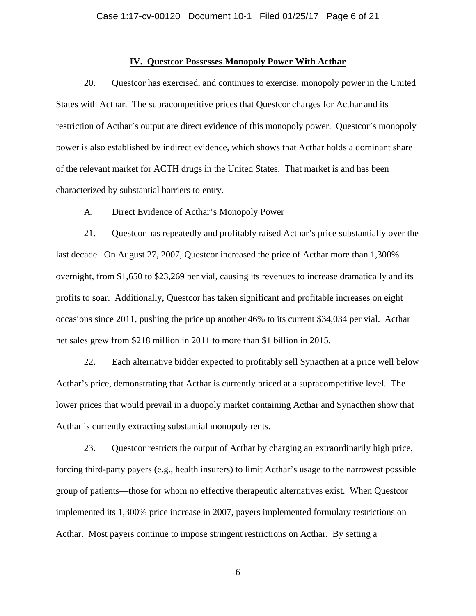### **IV. Questcor Possesses Monopoly Power With Acthar**

20. Questcor has exercised, and continues to exercise, monopoly power in the United States with Acthar. The supracompetitive prices that Questcor charges for Acthar and its restriction of Acthar's output are direct evidence of this monopoly power. Questcor's monopoly power is also established by indirect evidence, which shows that Acthar holds a dominant share of the relevant market for ACTH drugs in the United States. That market is and has been characterized by substantial barriers to entry.

## A. Direct Evidence of Acthar's Monopoly Power

21. Questcor has repeatedly and profitably raised Acthar's price substantially over the last decade. On August 27, 2007, Questcor increased the price of Acthar more than 1,300% overnight, from \$1,650 to \$23,269 per vial, causing its revenues to increase dramatically and its profits to soar. Additionally, Questcor has taken significant and profitable increases on eight occasions since 2011, pushing the price up another 46% to its current \$34,034 per vial. Acthar net sales grew from \$218 million in 2011 to more than \$1 billion in 2015.

22. Each alternative bidder expected to profitably sell Synacthen at a price well below Acthar's price, demonstrating that Acthar is currently priced at a supracompetitive level. The lower prices that would prevail in a duopoly market containing Acthar and Synacthen show that Acthar is currently extracting substantial monopoly rents.

23. Questcor restricts the output of Acthar by charging an extraordinarily high price, forcing third-party payers (e.g., health insurers) to limit Acthar's usage to the narrowest possible group of patients—those for whom no effective therapeutic alternatives exist. When Questcor implemented its 1,300% price increase in 2007, payers implemented formulary restrictions on Acthar. Most payers continue to impose stringent restrictions on Acthar. By setting a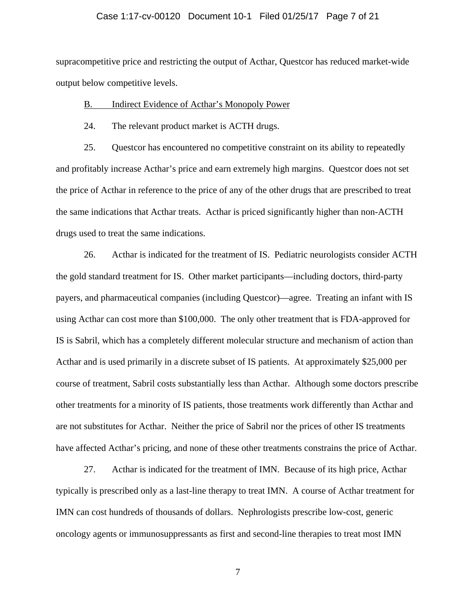# Case 1:17-cv-00120 Document 10-1 Filed 01/25/17 Page 7 of 21

supracompetitive price and restricting the output of Acthar, Questcor has reduced market-wide output below competitive levels.

#### B. Indirect Evidence of Acthar's Monopoly Power

24. The relevant product market is ACTH drugs.

25. Questcor has encountered no competitive constraint on its ability to repeatedly and profitably increase Acthar's price and earn extremely high margins. Questcor does not set the price of Acthar in reference to the price of any of the other drugs that are prescribed to treat the same indications that Acthar treats. Acthar is priced significantly higher than non-ACTH drugs used to treat the same indications.

26. Acthar is indicated for the treatment of IS. Pediatric neurologists consider ACTH the gold standard treatment for IS. Other market participants—including doctors, third-party payers, and pharmaceutical companies (including Questcor)—agree. Treating an infant with IS using Acthar can cost more than \$100,000. The only other treatment that is FDA-approved for IS is Sabril, which has a completely different molecular structure and mechanism of action than Acthar and is used primarily in a discrete subset of IS patients. At approximately \$25,000 per course of treatment, Sabril costs substantially less than Acthar. Although some doctors prescribe other treatments for a minority of IS patients, those treatments work differently than Acthar and are not substitutes for Acthar. Neither the price of Sabril nor the prices of other IS treatments have affected Acthar's pricing, and none of these other treatments constrains the price of Acthar.

27. Acthar is indicated for the treatment of IMN. Because of its high price, Acthar typically is prescribed only as a last-line therapy to treat IMN. A course of Acthar treatment for IMN can cost hundreds of thousands of dollars. Nephrologists prescribe low-cost, generic oncology agents or immunosuppressants as first and second-line therapies to treat most IMN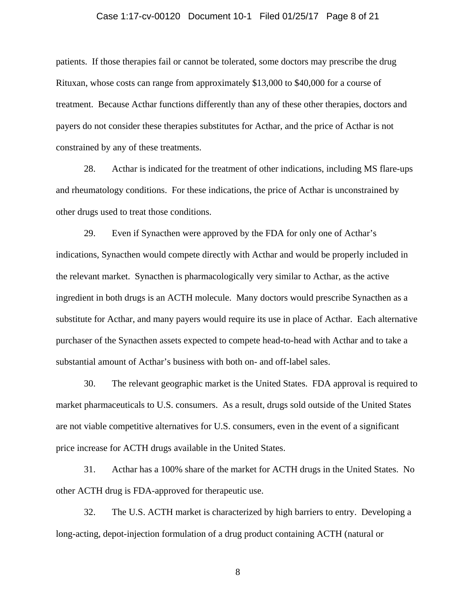# Case 1:17-cv-00120 Document 10-1 Filed 01/25/17 Page 8 of 21

patients. If those therapies fail or cannot be tolerated, some doctors may prescribe the drug Rituxan, whose costs can range from approximately \$13,000 to \$40,000 for a course of treatment. Because Acthar functions differently than any of these other therapies, doctors and payers do not consider these therapies substitutes for Acthar, and the price of Acthar is not constrained by any of these treatments.

28. Acthar is indicated for the treatment of other indications, including MS flare-ups and rheumatology conditions. For these indications, the price of Acthar is unconstrained by other drugs used to treat those conditions.

29. Even if Synacthen were approved by the FDA for only one of Acthar's indications, Synacthen would compete directly with Acthar and would be properly included in the relevant market. Synacthen is pharmacologically very similar to Acthar, as the active ingredient in both drugs is an ACTH molecule. Many doctors would prescribe Synacthen as a substitute for Acthar, and many payers would require its use in place of Acthar. Each alternative purchaser of the Synacthen assets expected to compete head-to-head with Acthar and to take a substantial amount of Acthar's business with both on- and off-label sales.

30. The relevant geographic market is the United States. FDA approval is required to market pharmaceuticals to U.S. consumers. As a result, drugs sold outside of the United States are not viable competitive alternatives for U.S. consumers, even in the event of a significant price increase for ACTH drugs available in the United States.

31. Acthar has a 100% share of the market for ACTH drugs in the United States. No other ACTH drug is FDA-approved for therapeutic use.

32. The U.S. ACTH market is characterized by high barriers to entry. Developing a long-acting, depot-injection formulation of a drug product containing ACTH (natural or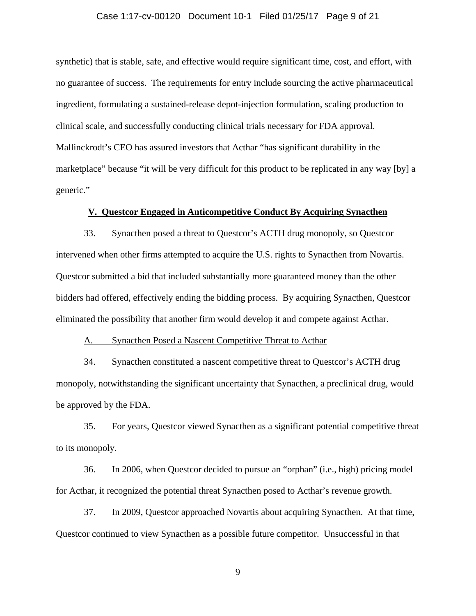# Case 1:17-cv-00120 Document 10-1 Filed 01/25/17 Page 9 of 21

synthetic) that is stable, safe, and effective would require significant time, cost, and effort, with no guarantee of success. The requirements for entry include sourcing the active pharmaceutical ingredient, formulating a sustained-release depot-injection formulation, scaling production to clinical scale, and successfully conducting clinical trials necessary for FDA approval. Mallinckrodt's CEO has assured investors that Acthar "has significant durability in the marketplace" because "it will be very difficult for this product to be replicated in any way [by] a generic."

### **V. Questcor Engaged in Anticompetitive Conduct By Acquiring Synacthen**

33. Synacthen posed a threat to Questcor's ACTH drug monopoly, so Questcor intervened when other firms attempted to acquire the U.S. rights to Synacthen from Novartis. Questcor submitted a bid that included substantially more guaranteed money than the other bidders had offered, effectively ending the bidding process. By acquiring Synacthen, Questcor eliminated the possibility that another firm would develop it and compete against Acthar.

#### A. Synacthen Posed a Nascent Competitive Threat to Acthar

34. Synacthen constituted a nascent competitive threat to Questcor's ACTH drug monopoly, notwithstanding the significant uncertainty that Synacthen, a preclinical drug, would be approved by the FDA.

35. For years, Questcor viewed Synacthen as a significant potential competitive threat to its monopoly.

36. In 2006, when Questcor decided to pursue an "orphan" (i.e., high) pricing model for Acthar, it recognized the potential threat Synacthen posed to Acthar's revenue growth.

37. In 2009, Questcor approached Novartis about acquiring Synacthen. At that time, Questcor continued to view Synacthen as a possible future competitor. Unsuccessful in that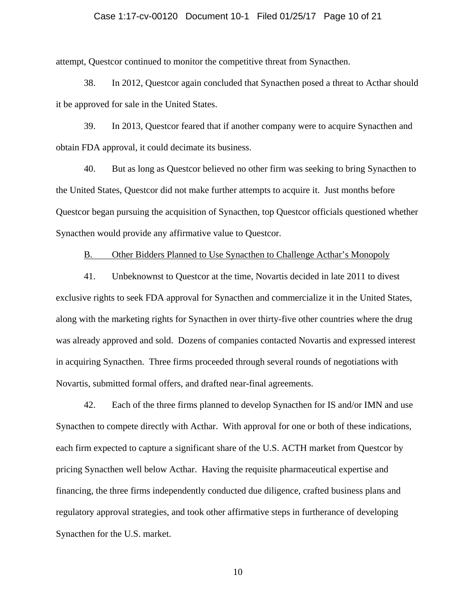# Case 1:17-cv-00120 Document 10-1 Filed 01/25/17 Page 10 of 21

attempt, Questcor continued to monitor the competitive threat from Synacthen.

38. In 2012, Questcor again concluded that Synacthen posed a threat to Acthar should it be approved for sale in the United States.

39. In 2013, Questcor feared that if another company were to acquire Synacthen and obtain FDA approval, it could decimate its business.

40. But as long as Questcor believed no other firm was seeking to bring Synacthen to the United States, Questcor did not make further attempts to acquire it. Just months before Questcor began pursuing the acquisition of Synacthen, top Questcor officials questioned whether Synacthen would provide any affirmative value to Questcor.

B. Other Bidders Planned to Use Synacthen to Challenge Acthar's Monopoly

41. Unbeknownst to Questcor at the time, Novartis decided in late 2011 to divest exclusive rights to seek FDA approval for Synacthen and commercialize it in the United States, along with the marketing rights for Synacthen in over thirty-five other countries where the drug was already approved and sold. Dozens of companies contacted Novartis and expressed interest in acquiring Synacthen. Three firms proceeded through several rounds of negotiations with Novartis, submitted formal offers, and drafted near-final agreements.

42. Each of the three firms planned to develop Synacthen for IS and/or IMN and use Synacthen to compete directly with Acthar. With approval for one or both of these indications, each firm expected to capture a significant share of the U.S. ACTH market from Questcor by pricing Synacthen well below Acthar. Having the requisite pharmaceutical expertise and financing, the three firms independently conducted due diligence, crafted business plans and regulatory approval strategies, and took other affirmative steps in furtherance of developing Synacthen for the U.S. market.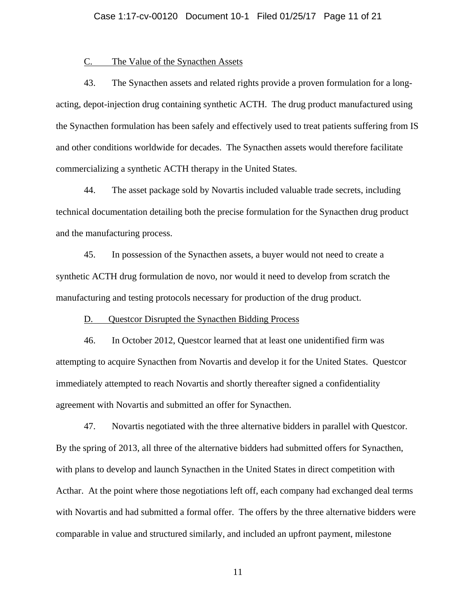#### C. The Value of the Synacthen Assets

43. The Synacthen assets and related rights provide a proven formulation for a longacting, depot-injection drug containing synthetic ACTH. The drug product manufactured using the Synacthen formulation has been safely and effectively used to treat patients suffering from IS and other conditions worldwide for decades. The Synacthen assets would therefore facilitate commercializing a synthetic ACTH therapy in the United States.

44. The asset package sold by Novartis included valuable trade secrets, including technical documentation detailing both the precise formulation for the Synacthen drug product and the manufacturing process.

45. In possession of the Synacthen assets, a buyer would not need to create a synthetic ACTH drug formulation de novo, nor would it need to develop from scratch the manufacturing and testing protocols necessary for production of the drug product.

#### D. Questcor Disrupted the Synacthen Bidding Process

46. In October 2012, Questcor learned that at least one unidentified firm was attempting to acquire Synacthen from Novartis and develop it for the United States. Questcor immediately attempted to reach Novartis and shortly thereafter signed a confidentiality agreement with Novartis and submitted an offer for Synacthen.

47. Novartis negotiated with the three alternative bidders in parallel with Questcor. By the spring of 2013, all three of the alternative bidders had submitted offers for Synacthen, with plans to develop and launch Synacthen in the United States in direct competition with Acthar. At the point where those negotiations left off, each company had exchanged deal terms with Novartis and had submitted a formal offer. The offers by the three alternative bidders were comparable in value and structured similarly, and included an upfront payment, milestone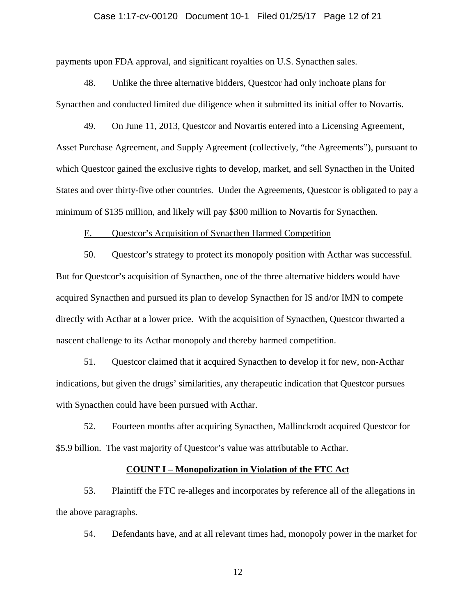#### Case 1:17-cv-00120 Document 10-1 Filed 01/25/17 Page 12 of 21

payments upon FDA approval, and significant royalties on U.S. Synacthen sales.

48. Unlike the three alternative bidders, Questcor had only inchoate plans for Synacthen and conducted limited due diligence when it submitted its initial offer to Novartis.

49. On June 11, 2013, Questcor and Novartis entered into a Licensing Agreement, Asset Purchase Agreement, and Supply Agreement (collectively, "the Agreements"), pursuant to which Questcor gained the exclusive rights to develop, market, and sell Synacthen in the United States and over thirty-five other countries. Under the Agreements, Questcor is obligated to pay a minimum of \$135 million, and likely will pay \$300 million to Novartis for Synacthen.

#### E. Questcor's Acquisition of Synacthen Harmed Competition

50. Questcor's strategy to protect its monopoly position with Acthar was successful. But for Questcor's acquisition of Synacthen, one of the three alternative bidders would have acquired Synacthen and pursued its plan to develop Synacthen for IS and/or IMN to compete directly with Acthar at a lower price. With the acquisition of Synacthen, Questcor thwarted a nascent challenge to its Acthar monopoly and thereby harmed competition.

51. Questcor claimed that it acquired Synacthen to develop it for new, non-Acthar indications, but given the drugs' similarities, any therapeutic indication that Questcor pursues with Synacthen could have been pursued with Acthar.

52. Fourteen months after acquiring Synacthen, Mallinckrodt acquired Questcor for \$5.9 billion. The vast majority of Questcor's value was attributable to Acthar.

### **COUNT I – Monopolization in Violation of the FTC Act**

53. Plaintiff the FTC re-alleges and incorporates by reference all of the allegations in the above paragraphs.

54. Defendants have, and at all relevant times had, monopoly power in the market for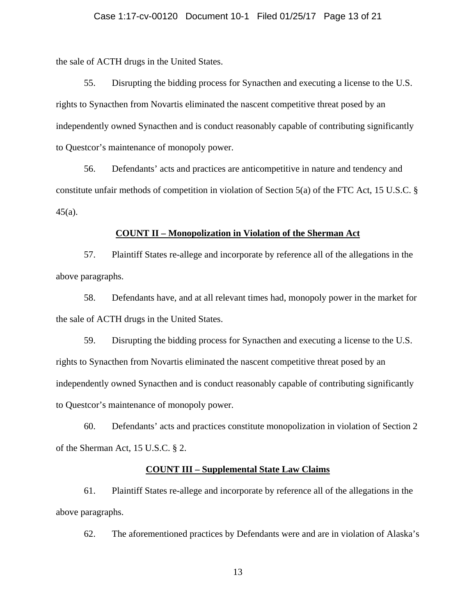#### Case 1:17-cv-00120 Document 10-1 Filed 01/25/17 Page 13 of 21

the sale of ACTH drugs in the United States.

55. Disrupting the bidding process for Synacthen and executing a license to the U.S. rights to Synacthen from Novartis eliminated the nascent competitive threat posed by an independently owned Synacthen and is conduct reasonably capable of contributing significantly to Questcor's maintenance of monopoly power.

56. Defendants' acts and practices are anticompetitive in nature and tendency and constitute unfair methods of competition in violation of Section 5(a) of the FTC Act, 15 U.S.C. § 45(a).

#### **COUNT II – Monopolization in Violation of the Sherman Act**

57. Plaintiff States re-allege and incorporate by reference all of the allegations in the above paragraphs.

58. Defendants have, and at all relevant times had, monopoly power in the market for the sale of ACTH drugs in the United States.

59. Disrupting the bidding process for Synacthen and executing a license to the U.S. rights to Synacthen from Novartis eliminated the nascent competitive threat posed by an independently owned Synacthen and is conduct reasonably capable of contributing significantly to Questcor's maintenance of monopoly power.

60. Defendants' acts and practices constitute monopolization in violation of Section 2 of the Sherman Act, 15 U.S.C. § 2.

### **COUNT III – Supplemental State Law Claims**

61. Plaintiff States re-allege and incorporate by reference all of the allegations in the above paragraphs.

62. The aforementioned practices by Defendants were and are in violation of Alaska's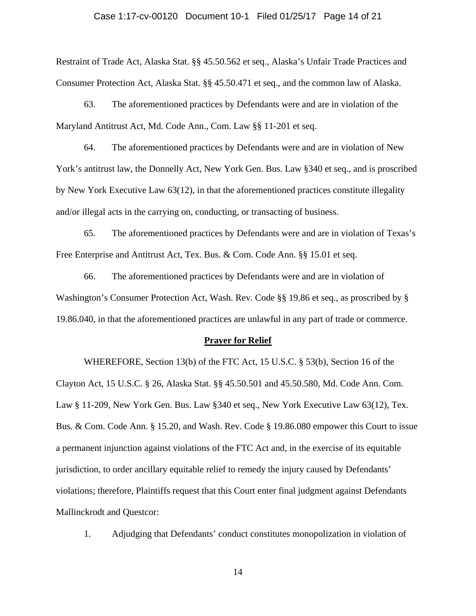# Case 1:17-cv-00120 Document 10-1 Filed 01/25/17 Page 14 of 21

Restraint of Trade Act, Alaska Stat. §§ 45.50.562 et seq., Alaska's Unfair Trade Practices and Consumer Protection Act, Alaska Stat. §§ 45.50.471 et seq., and the common law of Alaska.

63. The aforementioned practices by Defendants were and are in violation of the Maryland Antitrust Act, Md. Code Ann., Com. Law §§ 11-201 et seq.

64. The aforementioned practices by Defendants were and are in violation of New York's antitrust law, the Donnelly Act, New York Gen. Bus. Law §340 et seq., and is proscribed by New York Executive Law 63(12), in that the aforementioned practices constitute illegality and/or illegal acts in the carrying on, conducting, or transacting of business.

65. The aforementioned practices by Defendants were and are in violation of Texas's Free Enterprise and Antitrust Act, Tex. Bus. & Com. Code Ann. §§ 15.01 et seq.

66. The aforementioned practices by Defendants were and are in violation of Washington's Consumer Protection Act, Wash. Rev. Code §§ 19.86 et seq., as proscribed by § 19.86.040, in that the aforementioned practices are unlawful in any part of trade or commerce.

#### **Prayer for Relief**

WHEREFORE, Section 13(b) of the FTC Act, 15 U.S.C. § 53(b), Section 16 of the Clayton Act, 15 U.S.C. § 26, Alaska Stat. §§ 45.50.501 and 45.50.580, Md. Code Ann. Com. Law § 11-209, New York Gen. Bus. Law § 340 et seq., New York Executive Law 63(12), Tex. Bus. & Com. Code Ann. § 15.20, and Wash. Rev. Code § 19.86.080 empower this Court to issue a permanent injunction against violations of the FTC Act and, in the exercise of its equitable jurisdiction, to order ancillary equitable relief to remedy the injury caused by Defendants' violations; therefore, Plaintiffs request that this Court enter final judgment against Defendants Mallinckrodt and Questcor:

1. Adjudging that Defendants' conduct constitutes monopolization in violation of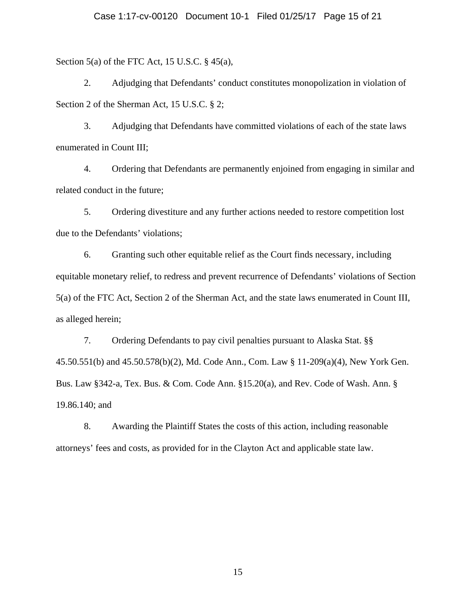Section 5(a) of the FTC Act, 15 U.S.C.  $\S$  45(a),

2. Adjudging that Defendants' conduct constitutes monopolization in violation of Section 2 of the Sherman Act, 15 U.S.C. § 2;

3. Adjudging that Defendants have committed violations of each of the state laws enumerated in Count III;

4. Ordering that Defendants are permanently enjoined from engaging in similar and related conduct in the future;

5. Ordering divestiture and any further actions needed to restore competition lost due to the Defendants' violations;

6. Granting such other equitable relief as the Court finds necessary, including equitable monetary relief, to redress and prevent recurrence of Defendants' violations of Section 5(a) of the FTC Act, Section 2 of the Sherman Act, and the state laws enumerated in Count III, as alleged herein;

7. Ordering Defendants to pay civil penalties pursuant to Alaska Stat. §§ 45.50.551(b) and 45.50.578(b)(2), Md. Code Ann., Com. Law § 11-209(a)(4), New York Gen. Bus. Law §342-a, Tex. Bus. & Com. Code Ann. §15.20(a), and Rev. Code of Wash. Ann. § 19.86.140; and

8. Awarding the Plaintiff States the costs of this action, including reasonable attorneys' fees and costs, as provided for in the Clayton Act and applicable state law.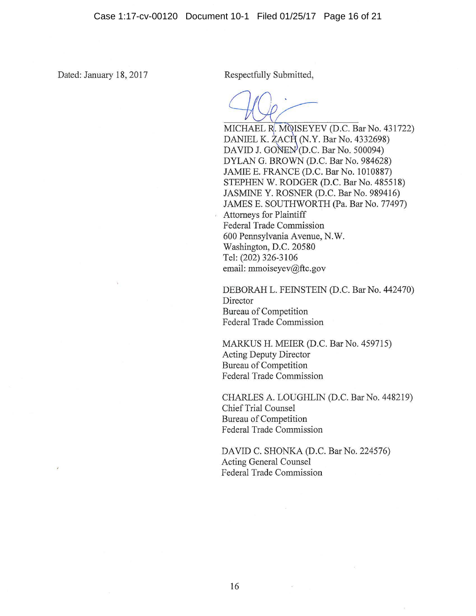$\overline{\mathcal{E}}$ 

Dated: January 18, 2017 Respectfully Submitted,

MICHAEL R. MOISEYEV (D.C. Bar No. 431722) DANIEL K. ZACH (N.Y. Bar No. 4332698) DAVID J. GONEN<sup>(D.C. Bar No. 500094)</sup> DYLAN G. BROWN (D.C. Bar No. 984628) JAMIE E. FRANCE (D.C. Bar No. 1010887) STEPHEN W. RODGER (D.C. Bar No. 485518) JASMINE Y. ROSNER (D.C. Bar No. 989416) JAMES E. SOUTHWORTH (Pa. Bar No. 77497) Attorneys for Plaintiff Federal Trade Commission 600 Pennsylvania Avenue, N.W. Washington, D.C. 20580 Tel: (202) 326-3106 email: mmoiseyev@ftc.gov

DEBORAH L. FEINSTEIN (D.C. Bar No. 442470) **Director** Bureau of Competition Federal Trade Commission

MARKUS H. MEIER (D.C. Bar No. 459715) Acting Deputy Director Bureau of Competition Federal Trade Commission

CHARLES A. LOUGHLIN (D.C. Bar No. 448219) Chief Trial Counsel Bureau of Competition Federal Trade Commission

DAVID C. SHONKA (D.C. Bar No. 224576) Acting General Counsel Federal Trade Commission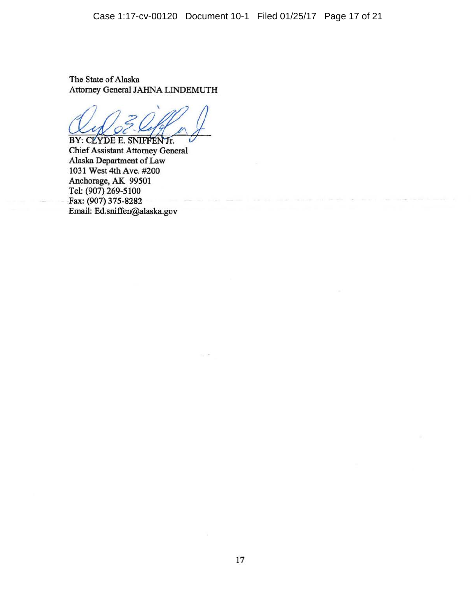Case 1:17-cv-00120 Document 10-1 Filed 01/25/17 Page 17 of 21

The State of Alaska Attorney General JAHNA LINDEMUTH

BY: CLYDE E. SNIFFEN Jr.

Chief Assistant Attorney General Alaska Department of Law 1031 West 4th Ave. #200 Anchorage, AK 99501 Tel: (907) 269-5100 Fax: (907) 375-8282 Email: Ed.sniffen@alaska.gov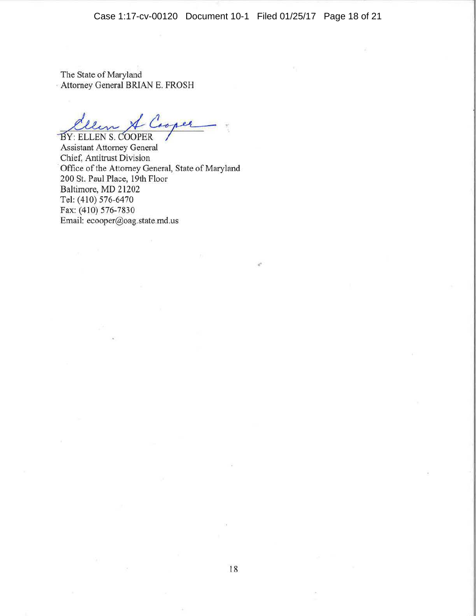Case 1:17-cv-00120 Document 10-1 Filed 01/25/17 Page 18 of 21

The State of Maryland · Attorney General BRIAN E. FROSH

Clem & Cooper

Assistant Attorney General Chief, Antitrust Division Office of the Attorney General, State of Maryland 200 St. Paul Place, 19th Floor Baltimore, MD 21202 Tel: (410) 576-6470 Fax: (410) 576-7830 Email: ecooper@oag.state.md.us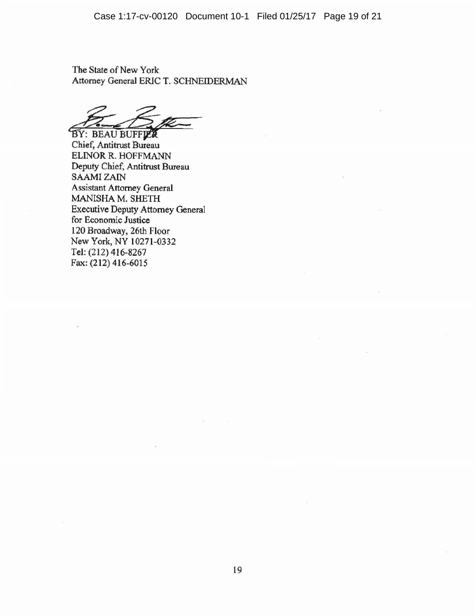The State of New York Attorney General ERIC T. SCHNEIDERMAN

BY: BEAU BUFFLER

Chief, Antitrust Bureau ELINOR R. HOFFMANN Deputy Chief, Antitrust Bureau SAAMI ZAIN Assistant Attorney General MANISHA M. SHETH Executive Deputy Attorney General for Economic Justice 120 Broadway, 26th Floor New York, NY 10271-0332 Tel: (212) 416-8267 Fax: (212) 416-6015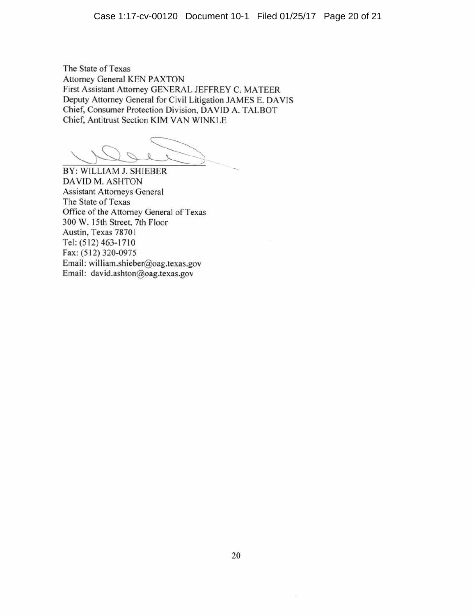The State of Texas Attorney General KEN PAXTON First Assistant Attorney GENERAL JEFFREY C. MATEER Deputy Attorney General for Civil Litigation JAMES E. DAVIS Chief, Consumer Protection Division, DA YID A. TALBOT Chief, Antitrust Section KIM VAN WINKLE

BY: WILLIAM J. SHIEBER DAVID M. ASHTON Assistant Attorneys General The State of Texas Office of the Attorney General of Texas 300 W. 15th Street, 7th Floor Austin, Texas 7870 I Tel: (512) 463-17 10 Fax: (512) 320-0975 Email: william.shieber@oag.texas.gov Email: david.ashton@oag.texas.gov